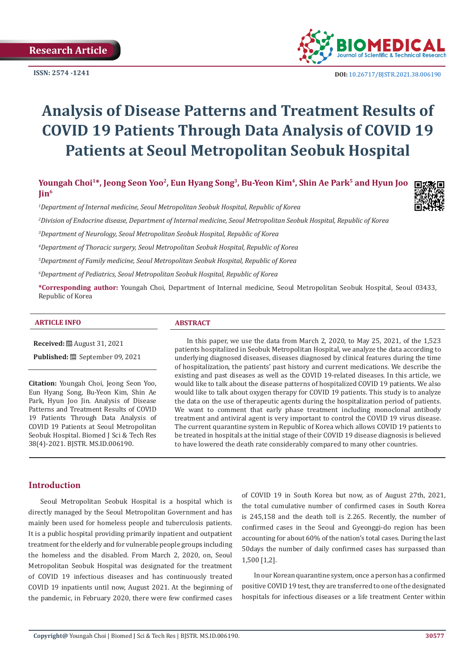**ISSN: 2574 -1241**



 **DOI:** [10.26717/BJSTR.2021.38.006190](https://dx.doi.org/10.26717/BJSTR.2021.38.006190)

# **Analysis of Disease Patterns and Treatment Results of COVID 19 Patients Through Data Analysis of COVID 19 Patients at Seoul Metropolitan Seobuk Hospital**

Youngah Choi<sup>1\*</sup>, Jeong Seon Yoo<sup>2</sup>, Eun Hyang Song<sup>3</sup>, Bu-Yeon Kim<sup>4</sup>, Shin Ae Park<sup>5</sup> and Hyun Joo **Jin6**

*1 Department of Internal medicine, Seoul Metropolitan Seobuk Hospital, Republic of Korea*



*3 Department of Neurology, Seoul Metropolitan Seobuk Hospital, Republic of Korea*

*4 Department of Thoracic surgery, Seoul Metropolitan Seobuk Hospital, Republic of Korea*

*5 Department of Family medicine, Seoul Metropolitan Seobuk Hospital, Republic of Korea*

*6 Department of Pediatrics, Seoul Metropolitan Seobuk Hospital, Republic of Korea*

**\*Corresponding author:** Youngah Choi, Department of Internal medicine, Seoul Metropolitan Seobuk Hospital, Seoul 03433, Republic of Korea

#### **ARTICLE INFO ABSTRACT**

**Received:** August 31, 2021

**Published:** September 09, 2021

**Citation:** Youngah Choi, Jeong Seon Yoo, Eun Hyang Song, Bu-Yeon Kim, Shin Ae Park, Hyun Joo Jin. Analysis of Disease Patterns and Treatment Results of COVID 19 Patients Through Data Analysis of COVID 19 Patients at Seoul Metropolitan Seobuk Hospital. Biomed J Sci & Tech Res 38(4)-2021. BJSTR. MS.ID.006190.

In this paper, we use the data from March 2, 2020, to May 25, 2021, of the 1,523 patients hospitalized in Seobuk Metropolitan Hospital, we analyze the data according to underlying diagnosed diseases, diseases diagnosed by clinical features during the time of hospitalization, the patients' past history and current medications. We describe the existing and past diseases as well as the COVID 19-related diseases. In this article, we would like to talk about the disease patterns of hospitalized COVID 19 patients. We also would like to talk about oxygen therapy for COVID 19 patients. This study is to analyze the data on the use of therapeutic agents during the hospitalization period of patients. We want to comment that early phase treatment including monoclonal antibody treatment and antiviral agent is very important to control the COVID 19 virus disease. The current quarantine system in Republic of Korea which allows COVID 19 patients to be treated in hospitals at the initial stage of their COVID 19 disease diagnosis is believed to have lowered the death rate considerably compared to many other countries.

## **Introduction**

Seoul Metropolitan Seobuk Hospital is a hospital which is directly managed by the Seoul Metropolitan Government and has mainly been used for homeless people and tuberculosis patients. It is a public hospital providing primarily inpatient and outpatient treatment for the elderly and for vulnerable people groups including the homeless and the disabled. From March 2, 2020, on, Seoul Metropolitan Seobuk Hospital was designated for the treatment of COVID 19 infectious diseases and has continuously treated COVID 19 inpatients until now, August 2021. At the beginning of the pandemic, in February 2020, there were few confirmed cases

of COVID 19 in South Korea but now, as of August 27th, 2021, the total cumulative number of confirmed cases in South Korea is 245,158 and the death toll is 2.265. Recently, the number of confirmed cases in the Seoul and Gyeonggi-do region has been accounting for about 60% of the nation's total cases. During the last 50days the number of daily confirmed cases has surpassed than 1,500 [1,2].

In our Korean quarantine system, once a person has a confirmed positive COVID 19 test, they are transferred to one of the designated hospitals for infectious diseases or a life treatment Center within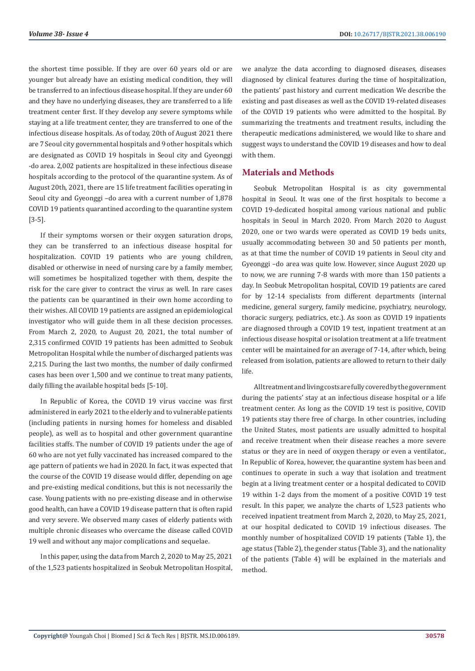the shortest time possible. If they are over 60 years old or are younger but already have an existing medical condition, they will be transferred to an infectious disease hospital. If they are under 60 and they have no underlying diseases, they are transferred to a life treatment center first. If they develop any severe symptoms while staying at a life treatment center, they are transferred to one of the infectious disease hospitals. As of today, 20th of August 2021 there are 7 Seoul city governmental hospitals and 9 other hospitals which are designated as COVID 19 hospitals in Seoul city and Gyeonggi -do area. 2,002 patients are hospitalized in these infectious disease hospitals according to the protocol of the quarantine system. As of August 20th, 2021, there are 15 life treatment facilities operating in Seoul city and Gyeonggi –do area with a current number of 1,878 COVID 19 patients quarantined according to the quarantine system [3-5].

If their symptoms worsen or their oxygen saturation drops, they can be transferred to an infectious disease hospital for hospitalization. COVID 19 patients who are young children, disabled or otherwise in need of nursing care by a family member, will sometimes be hospitalized together with them, despite the risk for the care giver to contract the virus as well. In rare cases the patients can be quarantined in their own home according to their wishes. All COVID 19 patients are assigned an epidemiological investigator who will guide them in all these decision processes. From March 2, 2020, to August 20, 2021, the total number of 2,315 confirmed COVID 19 patients has been admitted to Seobuk Metropolitan Hospital while the number of discharged patients was 2,215. During the last two months, the number of daily confirmed cases has been over 1,500 and we continue to treat many patients, daily filling the available hospital beds [5-10].

In Republic of Korea, the COVID 19 virus vaccine was first administered in early 2021 to the elderly and to vulnerable patients (including patients in nursing homes for homeless and disabled people), as well as to hospital and other government quarantine facilities staffs. The number of COVID 19 patients under the age of 60 who are not yet fully vaccinated has increased compared to the age pattern of patients we had in 2020. In fact, it was expected that the course of the COVID 19 disease would differ, depending on age and pre-existing medical conditions, but this is not necessarily the case. Young patients with no pre-existing disease and in otherwise good health, can have a COVID 19 disease pattern that is often rapid and very severe. We observed many cases of elderly patients with multiple chronic diseases who overcame the disease called COVID 19 well and without any major complications and sequelae.

In this paper, using the data from March 2, 2020 to May 25, 2021 of the 1,523 patients hospitalized in Seobuk Metropolitan Hospital, we analyze the data according to diagnosed diseases, diseases diagnosed by clinical features during the time of hospitalization, the patients' past history and current medication We describe the existing and past diseases as well as the COVID 19-related diseases of the COVID 19 patients who were admitted to the hospital. By summarizing the treatments and treatment results, including the therapeutic medications administered, we would like to share and suggest ways to understand the COVID 19 diseases and how to deal with them.

# **Materials and Methods**

Seobuk Metropolitan Hospital is as city governmental hospital in Seoul. It was one of the first hospitals to become a COVID 19-dedicated hospital among various national and public hospitals in Seoul in March 2020. From March 2020 to August 2020, one or two wards were operated as COVID 19 beds units, usually accommodating between 30 and 50 patients per month, as at that time the number of COVID 19 patients in Seoul city and Gyeonggi –do area was quite low. However, since August 2020 up to now, we are running 7-8 wards with more than 150 patients a day. In Seobuk Metropolitan hospital, COVID 19 patients are cared for by 12-14 specialists from different departments (internal medicine, general surgery, family medicine, psychiatry, neurology, thoracic surgery, pediatrics, etc.). As soon as COVID 19 inpatients are diagnosed through a COVID 19 test, inpatient treatment at an infectious disease hospital or isolation treatment at a life treatment center will be maintained for an average of 7-14, after which, being released from isolation, patients are allowed to return to their daily life.

All treatment and living costs are fully covered by the government during the patients' stay at an infectious disease hospital or a life treatment center. As long as the COVID 19 test is positive, COVID 19 patients stay there free of charge. In other countries, including the United States, most patients are usually admitted to hospital and receive treatment when their disease reaches a more severe status or they are in need of oxygen therapy or even a ventilator., In Republic of Korea, however, the quarantine system has been and continues to operate in such a way that isolation and treatment begin at a living treatment center or a hospital dedicated to COVID 19 within 1-2 days from the moment of a positive COVID 19 test result. In this paper, we analyze the charts of 1,523 patients who received inpatient treatment from March 2, 2020, to May 25, 2021, at our hospital dedicated to COVID 19 infectious diseases. The monthly number of hospitalized COVID 19 patients (Table 1), the age status (Table 2), the gender status (Table 3), and the nationality of the patients (Table 4) will be explained in the materials and method.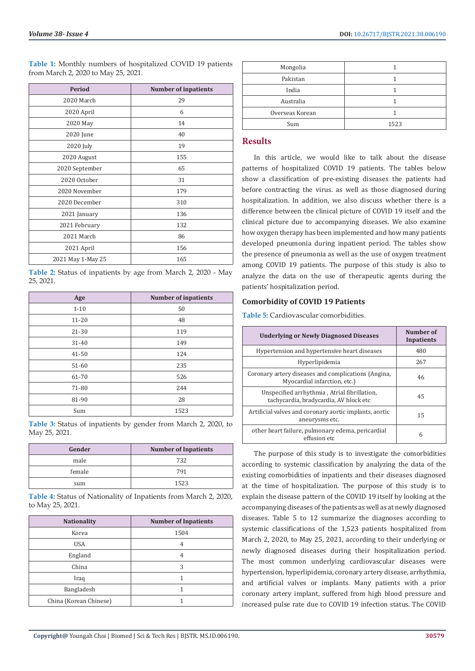**Table 1:** Monthly numbers of hospitalized COVID 19 patients from March 2, 2020 to May 25, 2021.

| Period            | Number of inpatients |
|-------------------|----------------------|
| 2020 March        | 29                   |
| 2020 April        | 6                    |
| 2020 May          | 14                   |
| 2020 June         | 40                   |
| 2020 July         | 19                   |
| 2020 August       | 155                  |
| 2020 September    | 65                   |
| 2020 October      | 31                   |
| 2020 November     | 179                  |
| 2020 December     | 310                  |
| 2021 January      | 136                  |
| 2021 February     | 132                  |
| 2021 March        | 86                   |
| 2021 April        | 156                  |
| 2021 May 1-May 25 | 165                  |

**Table 2:** Status of inpatients by age from March 2, 2020 - May 25, 2021.

| Age       | <b>Number of inpatients</b> |
|-----------|-----------------------------|
| $1 - 10$  | 50                          |
| $11 - 20$ | 48                          |
| 21-30     | 119                         |
| $31 - 40$ | 149                         |
| $41 - 50$ | 124                         |
| 51-60     | 235                         |
| 61-70     | 526                         |
| 71-80     | 244                         |
| 81-90     | 28                          |
| Sum       | 1523                        |

**Table 3:** Status of inpatients by gender from March 2, 2020, to May 25, 2021.

| Gender | <b>Number of Inpatients</b> |
|--------|-----------------------------|
| male   | 732                         |
| female | 791                         |
| sum    | 1523                        |

**Table 4:** Status of Nationality of Inpatients from March 2, 2020, to May 25, 2021.

| <b>Nationality</b>     | <b>Number of Inpatients</b> |
|------------------------|-----------------------------|
| Korea                  | 1504                        |
| <b>USA</b>             | 4                           |
| England                | 4                           |
| China                  | 3                           |
| Iraq                   |                             |
| Bangladesh             |                             |
| China (Korean Chinese) |                             |

| Mongolia        |      |
|-----------------|------|
| Pakistan        |      |
| India           |      |
| Australia       |      |
| Overseas Korean |      |
| Sum             | 1523 |

# **Results**

In this article, we would like to talk about the disease patterns of hospitalized COVID 19 patients. The tables below show a classification of pre-existing diseases the patients had before contracting the virus. as well as those diagnosed during hospitalization. In addition, we also discuss whether there is a difference between the clinical picture of COVID 19 itself and the clinical picture due to accompanying diseases. We also examine how oxygen therapy has been implemented and how many patients developed pneumonia during inpatient period. The tables show the presence of pneumonia as well as the use of oxygen treatment among COVID 19 patients. The purpose of this study is also to analyze the data on the use of therapeutic agents during the patients' hospitalization period.

# **Comorbidity of COVID 19 Patients**

**Table 5:** Cardiovascular comorbidities.

| <b>Underlying or Newly Diagnosed Diseases</b>                                          | Number of<br><b>Inpatients</b> |
|----------------------------------------------------------------------------------------|--------------------------------|
| Hypertension and hypertensive heart diseases                                           | 480                            |
| Hyperlipidemia                                                                         | 267                            |
| Coronary artery diseases and complications (Angina,<br>Myocardial infarction, etc.)    | 46                             |
| Unspecified arrhythmia, Atrial fibrillation,<br>tachycardia, bradycardia, AV block etc | 45                             |
| Artificial valves and coronary aortic implants, aortic<br>aneurysms etc.               | 15                             |
| other heart failure, pulmonary edema, pericardial<br>effusion etc                      | 6                              |

The purpose of this study is to investigate the comorbidities according to systemic classification by analyzing the data of the existing comorbidities of inpatients and their diseases diagnosed at the time of hospitalization. The purpose of this study is to explain the disease pattern of the COVID 19 itself by looking at the accompanying diseases of the patients as well as at newly diagnosed diseases. Table 5 to 12 summarize the diagnoses according to systemic classifications of the 1,523 patients hospitalized from March 2, 2020, to May 25, 2021, according to their underlying or newly diagnosed diseases during their hospitalization period. The most common underlying cardiovascular diseases were hypertension, hyperlipidemia, coronary artery disease, arrhythmia, and artificial valves or implants. Many patients with a prior coronary artery implant, suffered from high blood pressure and increased pulse rate due to COVID 19 infection status. The COVID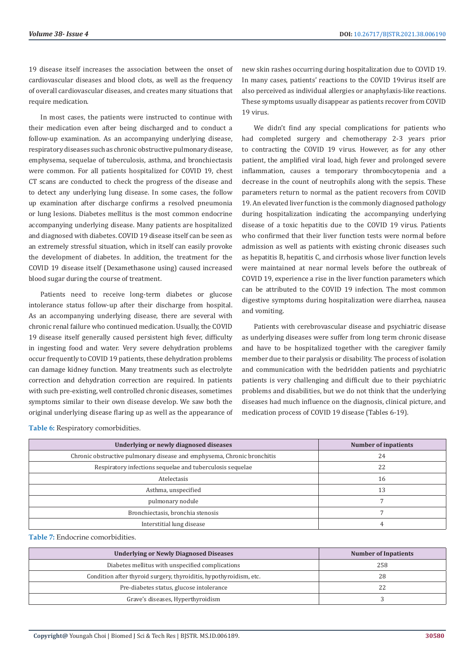19 disease itself increases the association between the onset of cardiovascular diseases and blood clots, as well as the frequency of overall cardiovascular diseases, and creates many situations that require medication.

In most cases, the patients were instructed to continue with their medication even after being discharged and to conduct a follow-up examination. As an accompanying underlying disease, respiratory diseases such as chronic obstructive pulmonary disease, emphysema, sequelae of tuberculosis, asthma, and bronchiectasis were common. For all patients hospitalized for COVID 19, chest CT scans are conducted to check the progress of the disease and to detect any underlying lung disease. In some cases, the follow up examination after discharge confirms a resolved pneumonia or lung lesions. Diabetes mellitus is the most common endocrine accompanying underlying disease. Many patients are hospitalized and diagnosed with diabetes. COVID 19 disease itself can be seen as an extremely stressful situation, which in itself can easily provoke the development of diabetes. In addition, the treatment for the COVID 19 disease itself (Dexamethasone using) caused increased blood sugar during the course of treatment.

Patients need to receive long-term diabetes or glucose intolerance status follow-up after their discharge from hospital. As an accompanying underlying disease, there are several with chronic renal failure who continued medication. Usually, the COVID 19 disease itself generally caused persistent high fever, difficulty in ingesting food and water. Very severe dehydration problems occur frequently to COVID 19 patients, these dehydration problems can damage kidney function. Many treatments such as electrolyte correction and dehydration correction are required. In patients with such pre-existing, well controlled chronic diseases, sometimes symptoms similar to their own disease develop. We saw both the original underlying disease flaring up as well as the appearance of new skin rashes occurring during hospitalization due to COVID 19. In many cases, patients' reactions to the COVID 19virus itself are also perceived as individual allergies or anaphylaxis-like reactions. These symptoms usually disappear as patients recover from COVID 19 virus.

We didn't find any special complications for patients who had completed surgery and chemotherapy 2-3 years prior to contracting the COVID 19 virus. However, as for any other patient, the amplified viral load, high fever and prolonged severe inflammation, causes a temporary thrombocytopenia and a decrease in the count of neutrophils along with the sepsis. These parameters return to normal as the patient recovers from COVID 19. An elevated liver function is the commonly diagnosed pathology during hospitalization indicating the accompanying underlying disease of a toxic hepatitis due to the COVID 19 virus. Patients who confirmed that their liver function tests were normal before admission as well as patients with existing chronic diseases such as hepatitis B, hepatitis C, and cirrhosis whose liver function levels were maintained at near normal levels before the outbreak of COVID 19, experience a rise in the liver function parameters which can be attributed to the COVID 19 infection. The most common digestive symptoms during hospitalization were diarrhea, nausea and vomiting.

Patients with cerebrovascular disease and psychiatric disease as underlying diseases were suffer from long term chronic disease and have to be hospitalized together with the caregiver family member due to their paralysis or disability. The process of isolation and communication with the bedridden patients and psychiatric patients is very challenging and difficult due to their psychiatric problems and disabilities, but we do not think that the underlying diseases had much influence on the diagnosis, clinical picture, and medication process of COVID 19 disease (Tables 6-19).

**Table 6:** Respiratory comorbidities.

| Underlying or newly diagnosed diseases                                  | Number of inpatients |
|-------------------------------------------------------------------------|----------------------|
| Chronic obstructive pulmonary disease and emphysema, Chronic bronchitis | 24                   |
| Respiratory infections sequelae and tuberculosis sequelae               | 22                   |
| Atelectasis                                                             | 16                   |
| Asthma, unspecified                                                     | 13                   |
| pulmonary nodule                                                        |                      |
| Bronchiectasis, bronchia stenosis                                       |                      |
| Interstitial lung disease                                               |                      |

**Table 7:** Endocrine comorbidities.

| <b>Underlying or Newly Diagnosed Diseases</b>                      | <b>Number of Inpatients</b> |
|--------------------------------------------------------------------|-----------------------------|
| Diabetes mellitus with unspecified complications                   | 258                         |
| Condition after thyroid surgery, thyroiditis, hypothyroidism, etc. | 28                          |
| Pre-diabetes status, glucose intolerance                           |                             |
| Grave's diseases, Hyperthyroidism                                  |                             |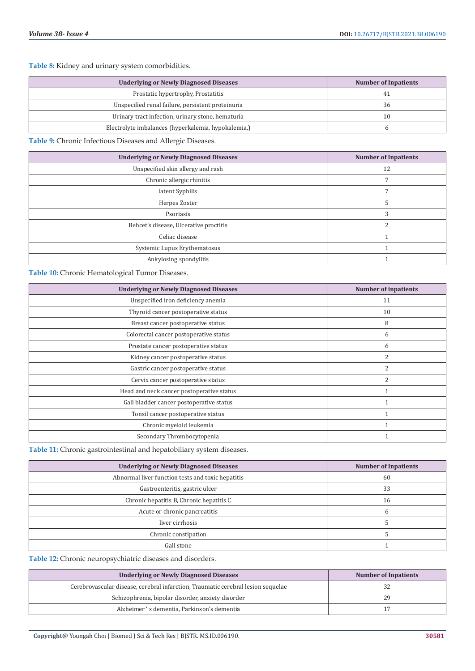**Table 8:** Kidney and urinary system comorbidities.

| <b>Underlying or Newly Diagnosed Diseases</b>       | <b>Number of Inpatients</b> |
|-----------------------------------------------------|-----------------------------|
| Prostatic hypertrophy, Prostatitis                  | 41                          |
| Unspecified renal failure, persistent proteinuria   | 36                          |
| Urinary tract infection, urinary stone, hematuria   | 10                          |
| Electrolyte imbalances (hyperkalemia, hypokalemia,) |                             |

**Table 9:** Chronic Infectious Diseases and Allergic Diseases.

| <b>Underlying or Newly Diagnosed Diseases</b> | <b>Number of Inpatients</b> |
|-----------------------------------------------|-----------------------------|
| Unspecified skin allergy and rash             | 12                          |
| Chronic allergic rhinitis                     |                             |
| latent Syphilis                               |                             |
| Herpes Zoster                                 |                             |
| Psoriasis                                     |                             |
| Behcet's disease, Ulcerative proctitis        |                             |
| Celiac disease                                |                             |
| Systemic Lupus Erythematosus                  |                             |
| Ankylosing spondylitis                        |                             |

**Table 10:** Chronic Hematological Tumor Diseases.

| <b>Underlying or Newly Diagnosed Diseases</b> | <b>Number of inpatients</b> |
|-----------------------------------------------|-----------------------------|
| Unspecified iron deficiency anemia            | 11                          |
| Thyroid cancer postoperative status           | 10                          |
| Breast cancer postoperative status            | 8                           |
| Colorectal cancer postoperative status        | 6                           |
| Prostate cancer postoperative status          | 6                           |
| Kidney cancer postoperative status            | 2                           |
| Gastric cancer postoperative status           | 2                           |
| Cervix cancer postoperative status            | 2                           |
| Head and neck cancer postoperative status     |                             |
| Gall bladder cancer postoperative status      |                             |
| Tonsil cancer postoperative status            |                             |
| Chronic myeloid leukemia                      |                             |
| Secondary Thrombocytopenia                    |                             |

**Table 11:** Chronic gastrointestinal and hepatobiliary system diseases.

| <b>Underlying or Newly Diagnosed Diseases</b>     | <b>Number of Inpatients</b> |
|---------------------------------------------------|-----------------------------|
| Abnormal liver function tests and toxic hepatitis | 60                          |
| Gastroenteritis, gastric ulcer                    | 33                          |
| Chronic hepatitis B, Chronic hepatitis C          | 16                          |
| Acute or chronic pancreatitis                     |                             |
| liver cirrhosis                                   |                             |
| Chronic constipation                              |                             |
| Gall stone                                        |                             |

**Table 12:** Chronic neuropsychiatric diseases and disorders.

| <b>Underlying or Newly Diagnosed Diseases</b>                                    | <b>Number of Inpatients</b> |
|----------------------------------------------------------------------------------|-----------------------------|
| Cerebrovascular disease, cerebral infarction, Traumatic cerebral lesion sequelae |                             |
| Schizophrenia, bipolar disorder, anxiety disorder                                | 29                          |
| Alzheimer 's dementia, Parkinson's dementia                                      |                             |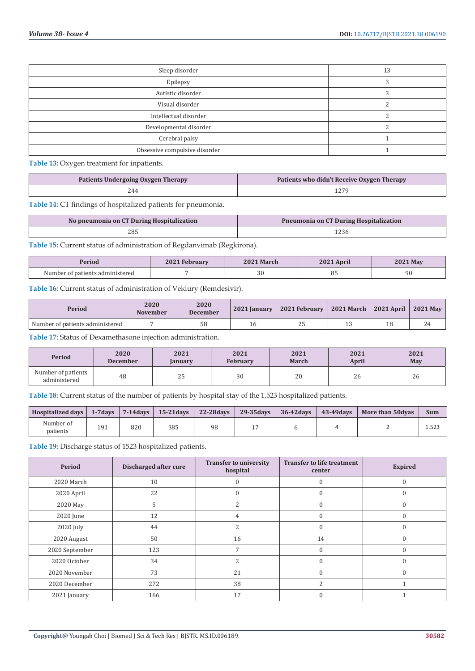| Sleep disorder                | 13 |
|-------------------------------|----|
| Epilepsy                      |    |
| Autistic disorder             |    |
| Visual disorder               |    |
| Intellectual disorder         |    |
| Developmental disorder        |    |
| Cerebral palsy                |    |
| Obsessive compulsive disorder |    |

**Table 13:** Oxygen treatment for inpatients.

| Patients Undergoing Oxygen Therapy | Patients who didn't Receive Oxygen Therapy |
|------------------------------------|--------------------------------------------|
| 244                                |                                            |

**Table 14:** CT findings of hospitalized patients for pneumonia.

| No pneumonia on CT During Hospitalization | Pneumonia on CT During Hospitalization |
|-------------------------------------------|----------------------------------------|
| 285                                       |                                        |

**Table 15:** Current status of administration of Regdanvimab (Regkirona).

| Period | repi uai | <b>March</b> | 2021 April | $^4$ May |
|--------|----------|--------------|------------|----------|
| Number |          | 30           | υJ         | 90       |

**Table 16:** Current status of administration of Veklury (Remdesivir).

| Period                          | 2020<br><b>November</b> | 2020<br><b>December</b> | 2021 Ianuary | 2021 February             | 2021 March | 2021 April | <b>2021 May</b> |
|---------------------------------|-------------------------|-------------------------|--------------|---------------------------|------------|------------|-----------------|
| Number of patients administered |                         | 58                      |              | $\sim$ $\sim$<br><u>_</u> |            |            | 44              |

**Table 17:** Status of Dexamethasone injection administration.

| <b>Period</b>                      | 2020            | 2021          | 2021            | 2021         | 2021         | 2021 |
|------------------------------------|-----------------|---------------|-----------------|--------------|--------------|------|
|                                    | <b>December</b> | <b>anuary</b> | <b>February</b> | <b>March</b> | <b>April</b> | May  |
| Number of patients<br>administered | 48              | 25            | 30              | 20           | $\sim$<br>26 | 26   |

**Table 18:** Current status of the number of patients by hospital stay of the 1,523 hospitalized patients.

| <b>Hospitalized days</b> | $1 - 7$ davs |     | $\vert$ 7-14 days $\vert$ 15-21 days | 22-28 days | $29-35$ days | $36 - 42$ davs | 43-49 days | <b>More than 50dyas</b> | <b>Sum</b> |
|--------------------------|--------------|-----|--------------------------------------|------------|--------------|----------------|------------|-------------------------|------------|
| Number of<br>patients    | 191          | 820 | 385                                  | 98         |              |                |            |                         | 1.523      |

**Table 19:** Discharge status of 1523 hospitalized patients.

| Period         | Discharged after cure | <b>Transfer to university</b><br>hospital | <b>Transfer to life treatment</b><br>center | <b>Expired</b> |
|----------------|-----------------------|-------------------------------------------|---------------------------------------------|----------------|
| 2020 March     | 10                    |                                           | $\mathbf{0}$                                | $\Omega$       |
| 2020 April     | 22                    | 0                                         | $\Omega$                                    | C              |
| 2020 May       | 5                     | $\overline{c}$                            | $\mathbf{0}$                                | $\Omega$       |
| 2020 June      | 12                    | 4                                         | $\mathbf{0}$                                | $\Omega$       |
| 2020 July      | 44                    | 2                                         | $\mathbf{0}$                                | $\Omega$       |
| 2020 August    | 50                    | 16                                        | 14                                          |                |
| 2020 September | 123                   |                                           | $\mathbf{0}$                                |                |
| 2020 October   | 34                    | $\overline{c}$                            | $\theta$                                    |                |
| 2020 November  | 73                    | 21                                        | $\Omega$                                    |                |
| 2020 December  | 272                   | 38                                        | $\overline{\mathcal{L}}$                    |                |
| 2021 January   | 166                   | 17                                        | $\mathbf{0}$                                |                |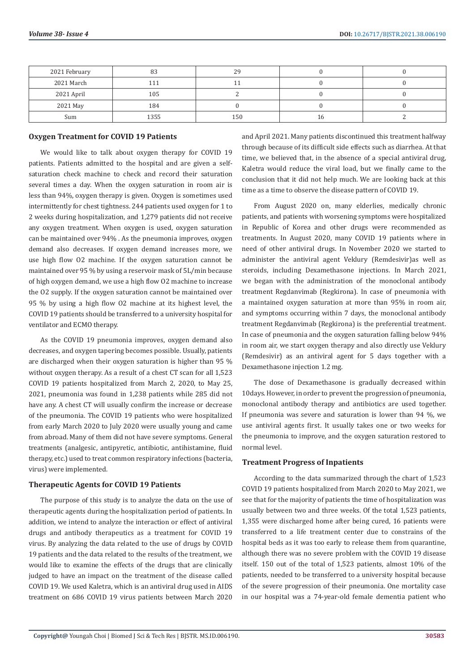| 2021 February | 83   | 29  |    |  |
|---------------|------|-----|----|--|
| 2021 March    | 111  |     |    |  |
| 2021 April    | 105  |     |    |  |
| 2021 May      | 184  |     |    |  |
| Sum           | 1355 | 150 | 16 |  |

#### **Oxygen Treatment for COVID 19 Patients**

We would like to talk about oxygen therapy for COVID 19 patients. Patients admitted to the hospital and are given a selfsaturation check machine to check and record their saturation several times a day. When the oxygen saturation in room air is less than 94%, oxygen therapy is given. Oxygen is sometimes used intermittently for chest tightness. 244 patients used oxygen for 1 to 2 weeks during hospitalization, and 1,279 patients did not receive any oxygen treatment. When oxygen is used, oxygen saturation can be maintained over 94% . As the pneumonia improves, oxygen demand also decreases. If oxygen demand increases more, we use high flow O2 machine. If the oxygen saturation cannot be maintained over 95 % by using a reservoir mask of 5L/min because of high oxygen demand, we use a high flow O2 machine to increase the O2 supply. If the oxygen saturation cannot be maintained over 95 % by using a high flow O2 machine at its highest level, the COVID 19 patients should be transferred to a university hospital for ventilator and ECMO therapy.

As the COVID 19 pneumonia improves, oxygen demand also decreases, and oxygen tapering becomes possible. Usually, patients are discharged when their oxygen saturation is higher than 95 % without oxygen therapy. As a result of a chest CT scan for all 1,523 COVID 19 patients hospitalized from March 2, 2020, to May 25, 2021, pneumonia was found in 1,238 patients while 285 did not have any. A chest CT will usually confirm the increase or decrease of the pneumonia. The COVID 19 patients who were hospitalized from early March 2020 to July 2020 were usually young and came from abroad. Many of them did not have severe symptoms. General treatments (analgesic, antipyretic, antibiotic, antihistamine, fluid therapy, etc.) used to treat common respiratory infections (bacteria, virus) were implemented.

#### **Therapeutic Agents for COVID 19 Patients**

The purpose of this study is to analyze the data on the use of therapeutic agents during the hospitalization period of patients. In addition, we intend to analyze the interaction or effect of antiviral drugs and antibody therapeutics as a treatment for COVID 19 virus. By analyzing the data related to the use of drugs by COVID 19 patients and the data related to the results of the treatment, we would like to examine the effects of the drugs that are clinically judged to have an impact on the treatment of the disease called COVID 19. We used Kaletra, which is an antiviral drug used in AIDS treatment on 686 COVID 19 virus patients between March 2020

and April 2021. Many patients discontinued this treatment halfway through because of its difficult side effects such as diarrhea. At that time, we believed that, in the absence of a special antiviral drug, Kaletra would reduce the viral load, but we finally came to the conclusion that it did not help much. We are looking back at this time as a time to observe the disease pattern of COVID 19.

From August 2020 on, many elderlies, medically chronic patients, and patients with worsening symptoms were hospitalized in Republic of Korea and other drugs were recommended as treatments. In August 2020, many COVID 19 patients where in need of other antiviral drugs. In November 2020 we started to administer the antiviral agent Veklury (Remdesivir)as well as steroids, including Dexamethasone injections. In March 2021, we began with the administration of the monoclonal antibody treatment Regdanvimab (Regkirona). In case of pneumonia with a maintained oxygen saturation at more than 95% in room air, and symptoms occurring within 7 days, the monoclonal antibody treatment Regdanvimab (Regkirona) is the preferential treatment. In case of pneumonia and the oxygen saturation falling below 94% in room air, we start oxygen therapy and also directly use Veklury (Remdesivir) as an antiviral agent for 5 days together with a Dexamethasone injection 1.2 mg.

The dose of Dexamethasone is gradually decreased within 10days. However, in order to prevent the progression of pneumonia, monoclonal antibody therapy and antibiotics are used together. If pneumonia was severe and saturation is lower than 94 %, we use antiviral agents first. It usually takes one or two weeks for the pneumonia to improve, and the oxygen saturation restored to normal level.

#### **Treatment Progress of Inpatients**

According to the data summarized through the chart of 1,523 COVID 19 patients hospitalized from March 2020 to May 2021, we see that for the majority of patients the time of hospitalization was usually between two and three weeks. Of the total 1,523 patients, 1,355 were discharged home after being cured, 16 patients were transferred to a life treatment center due to constrains of the hospital beds as it was too early to release them from quarantine, although there was no severe problem with the COVID 19 disease itself. 150 out of the total of 1,523 patients, almost 10% of the patients, needed to be transferred to a university hospital because of the severe progression of their pneumonia. One mortality case in our hospital was a 74-year-old female dementia patient who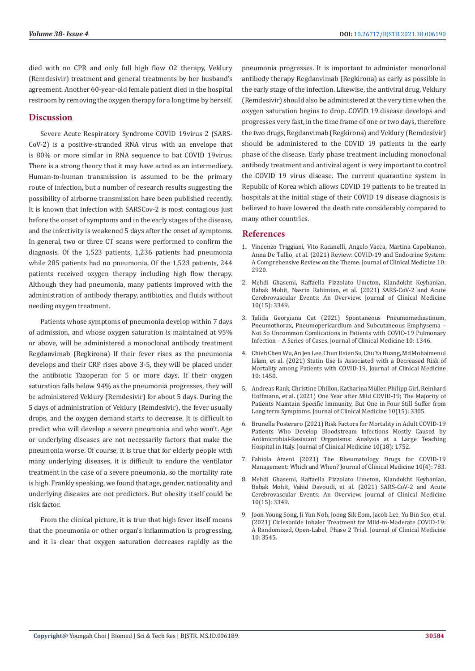died with no CPR and only full high flow O2 therapy, Veklury (Remdesivir) treatment and general treatments by her husband's agreement. Another 60-year-old female patient died in the hospital restroom by removing the oxygen therapy for a long time by herself.

# **Discussion**

Severe Acute Respiratory Syndrome COVID 19virus 2 (SARS-CoV-2) is a positive-stranded RNA virus with an envelope that is 80% or more similar in RNA sequence to bat COVID 19virus. There is a strong theory that it may have acted as an intermediary. Human-to-human transmission is assumed to be the primary route of infection, but a number of research results suggesting the possibility of airborne transmission have been published recently. It is known that infection with SARSCov-2 is most contagious just before the onset of symptoms and in the early stages of the disease, and the infectivity is weakened 5 days after the onset of symptoms. In general, two or three CT scans were performed to confirm the diagnosis. Of the 1,523 patients, 1,236 patients had pneumonia while 285 patients had no pneumonia. Of the 1,523 patients, 244 patients received oxygen therapy including high flow therapy. Although they had pneumonia, many patients improved with the administration of antibody therapy, antibiotics, and fluids without needing oxygen treatment.

Patients whose symptoms of pneumonia develop within 7 days of admission, and whose oxygen saturation is maintained at 95% or above, will be administered a monoclonal antibody treatment Regdanvimab (Regkirona) If their fever rises as the pneumonia develops and their CRP rises above 3-5, they will be placed under the antibiotic Tazoperan for 5 or more days. If their oxygen saturation falls below 94% as the pneumonia progresses, they will be administered Veklury (Remdesivir) for about 5 days. During the 5 days of administration of Veklury (Remdesivir), the fever usually drops, and the oxygen demand starts to decrease. It is difficult to predict who will develop a severe pneumonia and who won't. Age or underlying diseases are not necessarily factors that make the pneumonia worse. Of course, it is true that for elderly people with many underlying diseases, it is difficult to endure the ventilator treatment in the case of a severe pneumonia, so the mortality rate is high. Frankly speaking, we found that age, gender, nationality and underlying diseases are not predictors. But obesity itself could be risk factor.

From the clinical picture, it is true that high fever itself means that the pneumonia or other organ's inflammation is progressing, and it is clear that oxygen saturation decreases rapidly as the pneumonia progresses. It is important to administer monoclonal antibody therapy Regdanvimab (Regkirona) as early as possible in the early stage of the infection. Likewise, the antiviral drug, Veklury (Remdesivir) should also be administered at the very time when the oxygen saturation begins to drop. COVID 19 disease develops and progresses very fast, in the time frame of one or two days, therefore the two drugs, Regdanvimab (Regkirona) and Veklury (Remdesivir) should be administered to the COVID 19 patients in the early phase of the disease. Early phase treatment including monoclonal antibody treatment and antiviral agent is very important to control the COVID 19 virus disease. The current quarantine system in Republic of Korea which allows COVID 19 patients to be treated in hospitals at the initial stage of their COVID 19 disease diagnosis is believed to have lowered the death rate considerably compared to many other countries.

# **References**

- 1. [Vincenzo Triggiani, Vito Racanelli, Angelo Vacca, Martina Capobianco,](https://www.mdpi.com/2077-0383/10/13/2920) [Anna De Tullio, et al. \(2021\) Review: COVID-19 and Endocrine System:](https://www.mdpi.com/2077-0383/10/13/2920) [A Comprehensive Review on the Theme. Journal of Clinical Medicine 10:](https://www.mdpi.com/2077-0383/10/13/2920) [2920.](https://www.mdpi.com/2077-0383/10/13/2920)
- 2. [Mehdi Ghasemi, Raffaella Pizzolato Umeton, Kiandokht Keyhanian,](https://pubmed.ncbi.nlm.nih.gov/34362133/) [Babak Mohit, Nasrin Rahimian, et al. \(2021\) SARS-CoV-2 and Acute](https://pubmed.ncbi.nlm.nih.gov/34362133/) [Cerebrovascular Events: An Overview. Journal of Clinical Medicine](https://pubmed.ncbi.nlm.nih.gov/34362133/) [10\(15\): 3349.](https://pubmed.ncbi.nlm.nih.gov/34362133/)
- 3. [Talida Georgiana Cut \(2021\) Spontaneous Pneumomediastinum,](https://pubmed.ncbi.nlm.nih.gov/34362133/) [Pneumothorax, Pneumopericardium and Subcutaneous Emphysema –](https://pubmed.ncbi.nlm.nih.gov/34362133/) [Not So Uncommon Comlications in Patients with COVID-19 Pulmonary](https://pubmed.ncbi.nlm.nih.gov/34362133/) [Infection – A Series of Cases. Journal of Clinical Medicine 10: 1346.](https://pubmed.ncbi.nlm.nih.gov/34362133/)
- 4. [Chieh Chen Wu, An Jen Lee, Chun Hsien Su, Chu Ya Huang, Md Mohaimenul](https://pubmed.ncbi.nlm.nih.gov/33916281/) [Islam, et al. \(2021\) Statin Use Is Associated with a Decreased Risk of](https://pubmed.ncbi.nlm.nih.gov/33916281/) [Mortality among Patients with COVID-19. Journal of Clinical Medicine](https://pubmed.ncbi.nlm.nih.gov/33916281/) [10: 1450.](https://pubmed.ncbi.nlm.nih.gov/33916281/)
- 5. [Andreas Rank, Christine Dhillon, Katharina M](https://www.ncbi.nlm.nih.gov/pmc/articles/PMC8347559/)üller, Philipp Girl, Reinhard [Hoffmann, et al. \(2021\) One Year after Mild COVID-19; The Majority of](https://www.ncbi.nlm.nih.gov/pmc/articles/PMC8347559/) [Patients Maintain Specific Immunity, But One in Four Still Suffer from](https://www.ncbi.nlm.nih.gov/pmc/articles/PMC8347559/) [Long term Symptoms. Journal of Clinical Medicine 10\(15\): 3305.](https://www.ncbi.nlm.nih.gov/pmc/articles/PMC8347559/)
- 6. [Brunella Posteraro \(2021\) Risk Factors for Mortality in Adult COVID-19](https://pubmed.ncbi.nlm.nih.gov/33920701/) [Patients Who Develop Bloodstream Infections Mostly Caused by](https://pubmed.ncbi.nlm.nih.gov/33920701/) [Antimicrobial-Resistant Organisms: Analysis at a Large Teaching](https://pubmed.ncbi.nlm.nih.gov/33920701/) [Hospital in Italy. Journal of Clinical Medicine 10\(18\): 1752.](https://pubmed.ncbi.nlm.nih.gov/33920701/)
- 7. [Fabiola Atzeni \(2021\) The Rheumatology Drugs for COVID-19](https://www.ncbi.nlm.nih.gov/pmc/articles/PMC7919806/) [Management: Which and When? Journal of Clinical Medicine 10\(4\): 783.](https://www.ncbi.nlm.nih.gov/pmc/articles/PMC7919806/)
- 8. [Mehdi Ghasemi, Raffaella Pizzolato Umeton, Kiandokht Keyhanian,](https://pubmed.ncbi.nlm.nih.gov/34362133/) [Babak Mohit, Vahid Davoudi, et al. \(2021\) SARS-CoV-2 and Acute](https://pubmed.ncbi.nlm.nih.gov/34362133/) [Cerebrovascular Events: An Overview. Journal of Clinical Medicine](https://pubmed.ncbi.nlm.nih.gov/34362133/) [10\(15\): 3349.](https://pubmed.ncbi.nlm.nih.gov/34362133/)
- 9. Joon Young Song, Ji Yun Noh, [Joong Sik Eom, Jacob Lee, Yu Bin Seo, et al.](https://www.mdpi.com/2077-0383/10/16/3545) [\(2021\) Ciclesonide Inhaler Treatment for Mild-to-Moderate COVID-19:](https://www.mdpi.com/2077-0383/10/16/3545) [A Randomized, Open-Label, Phase 2 Trial. Journal of Clinical Medicine](https://www.mdpi.com/2077-0383/10/16/3545) [10: 3545.](https://www.mdpi.com/2077-0383/10/16/3545)